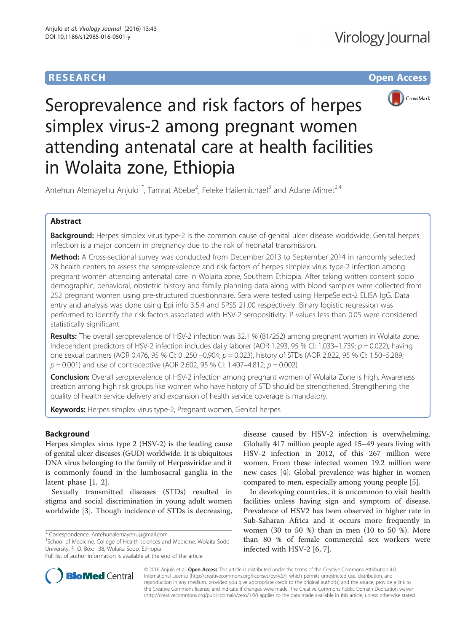# **RESEARCH CHE Open Access**



# Seroprevalence and risk factors of herpes simplex virus-2 among pregnant women attending antenatal care at health facilities in Wolaita zone, Ethiopia

Antehun Alemayehu Anjulo<sup>1\*</sup>, Tamrat Abebe<sup>2</sup>, Feleke Hailemichael<sup>3</sup> and Adane Mihret<sup>2,4</sup>

# Abstract

Background: Herpes simplex virus type-2 is the common cause of genital ulcer disease worldwide. Genital herpes infection is a major concern in pregnancy due to the risk of neonatal transmission.

Method: A Cross-sectional survey was conducted from December 2013 to September 2014 in randomly selected 28 health centers to assess the seroprevalence and risk factors of herpes simplex virus type-2 infection among pregnant women attending antenatal care in Wolaita zone, Southern Ethiopia. After taking written consent socio demographic, behavioral, obstetric history and family planning data along with blood samples were collected from 252 pregnant women using pre-structured questionnaire. Sera were tested using HerpeSelect-2 ELISA IgG. Data entry and analysis was done using Epi info 3.5.4 and SPSS 21.00 respectively. Binary logistic regression was performed to identify the risk factors associated with HSV-2 seropositivity. P-values less than 0.05 were considered statistically significant.

Results: The overall seroprevalence of HSV-2 infection was 32.1 % (81/252) among pregnant women in Wolaita zone. Independent predictors of HSV-2 infection includes daily laborer (AOR 1.293, 95 % CI: 1.033–1.739;  $p = 0.022$ ), having one sexual partners (AOR 0.476, 95 % CI: 0 .250 –0.904; p = 0.023), history of STDs (AOR 2.822, 95 % CI: 1.50–5.289;  $p = 0.001$ ) and use of contraceptive (AOR 2.602, 95 % CI: 1.407-4.812;  $p = 0.002$ ).

**Conclusion:** Overall seroprevalence of HSV-2 infection among pregnant women of Wolaita Zone is high. Awareness creation among high risk groups like women who have history of STD should be strengthened. Strengthening the quality of health service delivery and expansion of health service coverage is mandatory.

Keywords: Herpes simplex virus type-2, Pregnant women, Genital herpes

## Background

Herpes simplex virus type 2 (HSV-2) is the leading cause of genital ulcer diseases (GUD) worldwide. It is ubiquitous DNA virus belonging to the family of Herpesviridae and it is commonly found in the lumbosacral ganglia in the latent phase [\[1](#page-6-0), [2](#page-6-0)].

Sexually transmitted diseases (STDs) resulted in stigma and social discrimination in young adult women worldwide [[3\]](#page-6-0). Though incidence of STDs is decreasing,

 $1$ School of Medicine, College of Health sciences and Medicine, Wolaita Sodo University, P. O. Box: 138, Wolaita Sodo, Ethiopia

disease caused by HSV-2 infection is overwhelming. Globally 417 million people aged 15–49 years living with HSV-2 infection in 2012, of this 267 million were women. From these infected women 19.2 million were new cases [[4\]](#page-6-0). Global prevalence was higher in women compared to men, especially among young people [[5\]](#page-6-0).

In developing countries, it is uncommon to visit health facilities unless having sign and symptom of disease. Prevalence of HSV2 has been observed in higher rate in Sub-Saharan Africa and it occurs more frequently in women (30 to 50 %) than in men (10 to 50 %). More than 80 % of female commercial sex workers were infected with HSV-2 [[6, 7\]](#page-6-0).



© 2016 Anjulo et al. Open Access This article is distributed under the terms of the Creative Commons Attribution 4.0 International License [\(http://creativecommons.org/licenses/by/4.0/](http://creativecommons.org/licenses/by/4.0/)), which permits unrestricted use, distribution, and reproduction in any medium, provided you give appropriate credit to the original author(s) and the source, provide a link to the Creative Commons license, and indicate if changes were made. The Creative Commons Public Domain Dedication waiver [\(http://creativecommons.org/publicdomain/zero/1.0/](http://creativecommons.org/publicdomain/zero/1.0/)) applies to the data made available in this article, unless otherwise stated.

<sup>\*</sup> Correspondence: [Antehunalemayehu@gmail.com](mailto:Antehunalemayehu@gmail.com) <sup>1</sup>

Full list of author information is available at the end of the article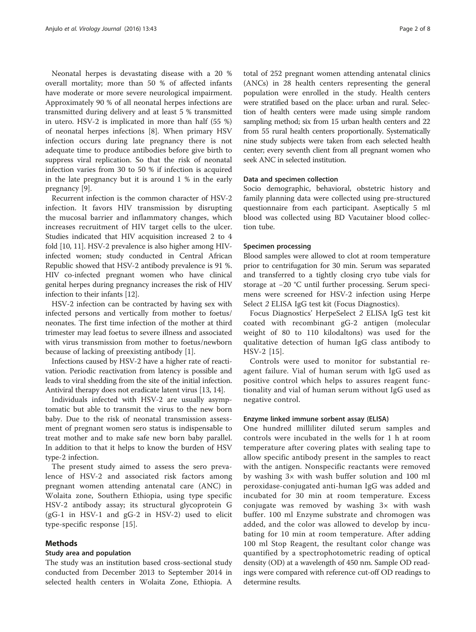Neonatal herpes is devastating disease with a 20 % overall mortality; more than 50 % of affected infants have moderate or more severe neurological impairment. Approximately 90 % of all neonatal herpes infections are transmitted during delivery and at least 5 % transmitted in utero. HSV-2 is implicated in more than half (55 %) of neonatal herpes infections [[8\]](#page-6-0). When primary HSV infection occurs during late pregnancy there is not adequate time to produce antibodies before give birth to suppress viral replication. So that the risk of neonatal infection varies from 30 to 50 % if infection is acquired in the late pregnancy but it is around 1 % in the early pregnancy [[9\]](#page-6-0).

Recurrent infection is the common character of HSV-2 infection. It favors HIV transmission by disrupting the mucosal barrier and inflammatory changes, which increases recruitment of HIV target cells to the ulcer. Studies indicated that HIV acquisition increased 2 to 4 fold [[10](#page-6-0), [11\]](#page-6-0). HSV-2 prevalence is also higher among HIVinfected women; study conducted in Central African Republic showed that HSV-2 antibody prevalence is 91 %. HIV co-infected pregnant women who have clinical genital herpes during pregnancy increases the risk of HIV infection to their infants [\[12](#page-6-0)].

HSV-2 infection can be contracted by having sex with infected persons and vertically from mother to foetus/ neonates. The first time infection of the mother at third trimester may lead foetus to severe illness and associated with virus transmission from mother to foetus/newborn because of lacking of preexisting antibody [\[1](#page-6-0)].

Infections caused by HSV-2 have a higher rate of reactivation. Periodic reactivation from latency is possible and leads to viral shedding from the site of the initial infection. Antiviral therapy does not eradicate latent virus [[13](#page-6-0), [14\]](#page-6-0).

Individuals infected with HSV-2 are usually asymptomatic but able to transmit the virus to the new born baby. Due to the risk of neonatal transmission assessment of pregnant women sero status is indispensable to treat mother and to make safe new born baby parallel. In addition to that it helps to know the burden of HSV type-2 infection.

The present study aimed to assess the sero prevalence of HSV-2 and associated risk factors among pregnant women attending antenatal care (ANC) in Wolaita zone, Southern Ethiopia, using type specific HSV-2 antibody assay; its structural glycoprotein G (gG-1 in HSV-1 and gG-2 in HSV-2) used to elicit type-specific response [[15\]](#page-6-0).

## Methods

#### Study area and population

The study was an institution based cross-sectional study conducted from December 2013 to September 2014 in selected health centers in Wolaita Zone, Ethiopia. A total of 252 pregnant women attending antenatal clinics (ANCs) in 28 health centers representing the general population were enrolled in the study. Health centers were stratified based on the place: urban and rural. Selection of health centers were made using simple random sampling method; six from 15 urban health centers and 22 from 55 rural health centers proportionally. Systematically nine study subjects were taken from each selected health center; every seventh client from all pregnant women who seek ANC in selected institution.

## Data and specimen collection

Socio demographic, behavioral, obstetric history and family planning data were collected using pre-structured questionnaire from each participant. Aseptically 5 ml blood was collected using BD Vacutainer blood collection tube.

#### Specimen processing

Blood samples were allowed to clot at room temperature prior to centrifugation for 30 min. Serum was separated and transferred to a tightly closing cryo tube vials for storage at −20 °C until further processing. Serum specimens were screened for HSV-2 infection using Herpe Select 2 ELISA IgG test kit (Focus Diagnostics).

Focus Diagnostics' HerpeSelect 2 ELISA IgG test kit coated with recombinant gG-2 antigen (molecular weight of 80 to 110 kilodaltons) was used for the qualitative detection of human IgG class antibody to HSV-2 [[15\]](#page-6-0).

Controls were used to monitor for substantial reagent failure. Vial of human serum with IgG used as positive control which helps to assures reagent functionality and vial of human serum without IgG used as negative control.

## Enzyme linked immune sorbent assay (ELISA)

One hundred milliliter diluted serum samples and controls were incubated in the wells for 1 h at room temperature after covering plates with sealing tape to allow specific antibody present in the samples to react with the antigen. Nonspecific reactants were removed by washing 3× with wash buffer solution and 100 ml peroxidase-conjugated anti-human IgG was added and incubated for 30 min at room temperature. Excess conjugate was removed by washing 3× with wash buffer. 100 ml Enzyme substrate and chromogen was added, and the color was allowed to develop by incubating for 10 min at room temperature. After adding 100 ml Stop Reagent, the resultant color change was quantified by a spectrophotometric reading of optical density (OD) at a wavelength of 450 nm. Sample OD readings were compared with reference cut-off OD readings to determine results.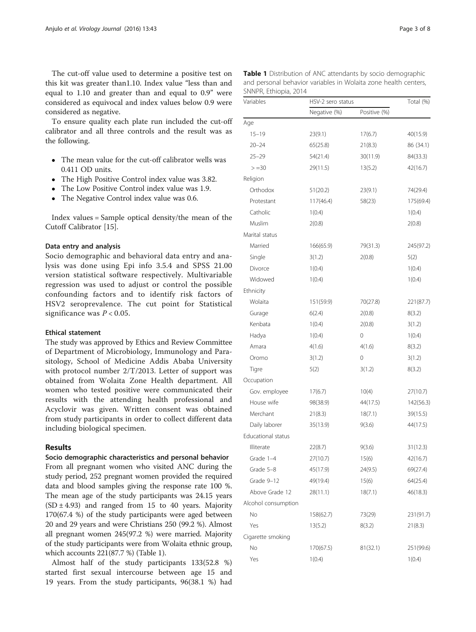<span id="page-2-0"></span>The cut-off value used to determine a positive test on this kit was greater than1.10. Index value "less than and equal to 1.10 and greater than and equal to 0.9" were considered as equivocal and index values below 0.9 were considered as negative.

To ensure quality each plate run included the cut-off calibrator and all three controls and the result was as the following.

- The mean value for the cut-off calibrator wells was  $0.411$  OD units.
- The High Positive Control index value was 3.82.
- The Low Positive Control index value was 1.9.
- The Negative Control index value was 0.6.

Index values = Sample optical density/the mean of the Cutoff Calibrator [\[15\]](#page-6-0).

#### Data entry and analysis

Socio demographic and behavioral data entry and analysis was done using Epi info 3.5.4 and SPSS 21.00 version statistical software respectively. Multivariable regression was used to adjust or control the possible confounding factors and to identify risk factors of HSV2 seroprevalence. The cut point for Statistical significance was  $P < 0.05$ .

#### Ethical statement

The study was approved by Ethics and Review Committee of Department of Microbiology, Immunology and Parasitology, School of Medicine Addis Ababa University with protocol number 2/T/2013. Letter of support was obtained from Wolaita Zone Health department. All women who tested positive were communicated their results with the attending health professional and Acyclovir was given. Written consent was obtained from study participants in order to collect different data including biological specimen.

### Results

#### Socio demographic characteristics and personal behavior

From all pregnant women who visited ANC during the study period, 252 pregnant women provided the required data and blood samples giving the response rate 100 %. The mean age of the study participants was 24.15 years  $(SD \pm 4.93)$  and ranged from 15 to 40 years. Majority 170(67.4 %) of the study participants were aged between 20 and 29 years and were Christians 250 (99.2 %). Almost all pregnant women 245(97.2 %) were married. Majority of the study participants were from Wolaita ethnic group, which accounts 221(87.7 %) (Table 1).

Almost half of the study participants 133(52.8 %) started first sexual intercourse between age 15 and 19 years. From the study participants, 96(38.1 %) had

| SNNPR, Ethiopia, 2014 | and personal behavior variables in Wolaita zone health centers, |                   |           |  |
|-----------------------|-----------------------------------------------------------------|-------------------|-----------|--|
| Variables             |                                                                 | HSV-2 sero status |           |  |
|                       | Negative (%)                                                    | Positive (%)      |           |  |
| Age                   |                                                                 |                   |           |  |
| $15 - 19$             | 23(9.1)                                                         | 17(6.7)           | 40(15.9)  |  |
| $20 - 24$             | 65(25.8)                                                        | 21(8.3)           | 86 (34.1) |  |
| $25 - 29$             | 54(21.4)                                                        | 30(11.9)          | 84(33.3)  |  |
| $> = 30$              | 29(11.5)                                                        | 13(5.2)           | 42(16.7)  |  |
| Religion              |                                                                 |                   |           |  |
| Orthodox              | 51(20.2)                                                        | 23(9.1)           | 74(29.4)  |  |
| Protestant            | 117(46.4)                                                       | 58(23)            | 175(69.4) |  |
| Catholic              | 1(0.4)                                                          |                   | 1(0.4)    |  |
| Muslim                | 2(0.8)                                                          |                   | 2(0.8)    |  |
| Marital status        |                                                                 |                   |           |  |
| Married               | 166(65.9)                                                       | 79(31.3)          | 245(97.2) |  |
| Single                | 3(1.2)                                                          | 2(0.8)            | 5(2)      |  |
| Divorce               | 1(0.4)                                                          |                   | 1(0.4)    |  |
| Widowed               | 1(0.4)                                                          |                   | 1(0.4)    |  |
| Ethnicity             |                                                                 |                   |           |  |
| Wolaita               | 151(59.9)                                                       | 70(27.8)          | 221(87.7) |  |
| Gurage                | 6(2.4)                                                          | 2(0.8)            | 8(3.2)    |  |

Kenbata 1(0.4) 2(0.8) 3(1.2) Hadya 1(0.4) 0 1(0.4) Amara 4(1.6) 4(1.6) 4(1.6) 8(3.2) Oromo 3(1.2) 0 3(1.2) Tigre  $5(2)$   $3(1.2)$   $8(3.2)$ 

Gov. employee 17(6.7) 10(4) 27(10.7) House wife 98(38.9) 44(17.5) 142(56.3) Merchant 21(8.3) 18(7.1) 39(15.5) Daily laborer 35(13.9) 9(3.6) 44(17.5)

Illiterate 22(8.7) 9(3.6) 31(12.3) Grade 1–4 27(10.7) 15(6) 42(16.7) Grade 5–8 45(17.9) 24(9.5) 69(27.4) Grade 9-12 49(19.4) 15(6) 64(25.4) Above Grade 12 28(11.1) 18(7.1) 46(18.3)

No 158(62.7) 73(29) 231(91.7) Yes 13(5.2) 8(3.2) 21(8.3)

No 170(67.5) 81(32.1) 251(99.6) Yes 1(0.4) 1(0.4)

Occupation

Educational status

Alcohol consumption

Cigarette smoking

| <b>Table 1</b> Distribution of ANC attendants by socio demographic<br>and personal behavior variables in Wolaita zone health centers,<br>SNNPR, Ethiopia, 2014 |                   |              |           |  |  |  |
|----------------------------------------------------------------------------------------------------------------------------------------------------------------|-------------------|--------------|-----------|--|--|--|
| Variables                                                                                                                                                      | HSV-2 sero status |              | Total (%) |  |  |  |
|                                                                                                                                                                | Negative (%)      | Positive (%) |           |  |  |  |
| Age                                                                                                                                                            |                   |              |           |  |  |  |
| $15 - 19$                                                                                                                                                      | 23(9.1)           | 17(6.7)      | 40(15.9)  |  |  |  |
| 20.21                                                                                                                                                          | $CFT$ $T$ $T$ $T$ | 21(0, 2)     | 0<1211    |  |  |  |

| y socio demographic<br>i zone health centers, |  |
|-----------------------------------------------|--|
| Total (%)                                     |  |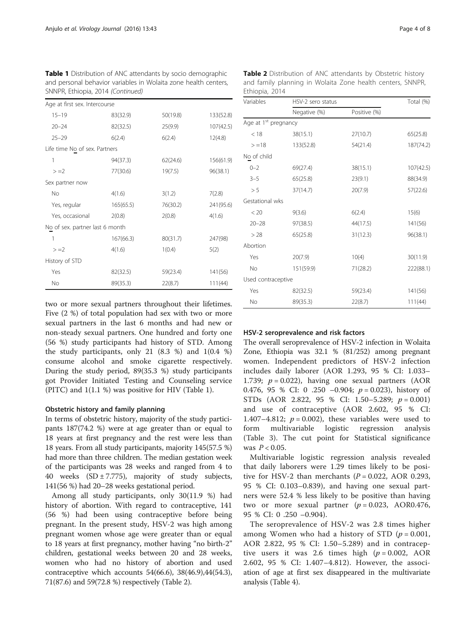| Age at first sex. Intercourse   |           |          |           |
|---------------------------------|-----------|----------|-----------|
| $15 - 19$                       | 83(32.9)  | 50(19.8) | 133(52.8) |
| $20 - 24$                       | 82(32.5)  | 25(9.9)  | 107(42.5) |
| $25 - 29$                       | 6(2.4)    | 6(2.4)   | 12(4.8)   |
| Life time No of sex. Partners   |           |          |           |
| 1                               | 94(37.3)  | 62(24.6) | 156(61.9) |
| $> = 2$                         | 77(30.6)  | 19(7.5)  | 96(38.1)  |
| Sex partner now                 |           |          |           |
| No                              | 4(1.6)    | 3(1.2)   | 7(2.8)    |
| Yes, regular                    | 165(65.5) | 76(30.2) | 241(95.6) |
| Yes, occasional                 | 2(0.8)    | 2(0.8)   | 4(1.6)    |
| No of sex. partner last 6 month |           |          |           |
| 1                               | 167(66.3) | 80(31.7) | 247(98)   |
| $> = 2$                         | 4(1.6)    | 1(0.4)   | 5(2)      |
| History of STD                  |           |          |           |
| Yes                             | 82(32.5)  | 59(23.4) | 141(56)   |
| No                              | 89(35.3)  | 22(8.7)  | 111(44)   |

Table 1 Distribution of ANC attendants by socio demographic and personal behavior variables in Wolaita zone health centers, SNNPR, Ethiopia, 2014 (Continued)

two or more sexual partners throughout their lifetimes. Five (2 %) of total population had sex with two or more sexual partners in the last 6 months and had new or non-steady sexual partners. One hundred and forty one (56 %) study participants had history of STD. Among the study participants, only 21 (8.3 %) and 1(0.4 %) consume alcohol and smoke cigarette respectively. During the study period, 89(35.3 %) study participants got Provider Initiated Testing and Counseling service (PITC) and 1(1.1 %) was positive for HIV (Table [1](#page-2-0)).

## Obstetric history and family planning

In terms of obstetric history, majority of the study participants 187(74.2 %) were at age greater than or equal to 18 years at first pregnancy and the rest were less than 18 years. From all study participants, majority 145(57.5 %) had more than three children. The median gestation week of the participants was 28 weeks and ranged from 4 to 40 weeks  $(SD \pm 7.775)$ , majority of study subjects, 141(56 %) had 20–28 weeks gestational period.

Among all study participants, only 30(11.9 %) had history of abortion. With regard to contraceptive, 141 (56 %) had been using contraceptive before being pregnant. In the present study, HSV-2 was high among pregnant women whose age were greater than or equal to 18 years at first pregnancy, mother having "no birth-2" children, gestational weeks between 20 and 28 weeks, women who had no history of abortion and used contraceptive which accounts 54(66.6), 38(46.9),44(54.3), 71(87.6) and 59(72.8 %) respectively (Table 2).

|                | Table 2 Distribution of ANC attendants by Obstetric history |  |
|----------------|-------------------------------------------------------------|--|
|                | and family planning in Wolaita Zone health centers, SNNPR,  |  |
| Ethiopia, 2014 |                                                             |  |

| Variables                        | HSV-2 sero status |              |           |  |
|----------------------------------|-------------------|--------------|-----------|--|
|                                  | Negative (%)      | Positive (%) |           |  |
| Age at 1 <sup>st</sup> pregnancy |                   |              |           |  |
| < 18                             | 38(15.1)          | 27(10.7)     | 65(25.8)  |  |
| $> = 18$                         | 133(52.8)         | 54(21.4)     | 187(74.2) |  |
| No of child                      |                   |              |           |  |
| $0 - 2$                          | 69(27.4)          | 38(15.1)     | 107(42.5) |  |
| $3 - 5$                          | 65(25.8)          | 23(9.1)      | 88(34.9)  |  |
| > 5                              | 37(14.7)          | 20(7.9)      | 57(22.6)  |  |
| Gestational wks                  |                   |              |           |  |
| < 20                             | 9(3.6)            | 6(2.4)       | 15(6)     |  |
| $20 - 28$                        | 97(38.5)          | 44(17.5)     | 141(56)   |  |
| > 28                             | 65(25.8)          | 31(12.3)     | 96(38.1)  |  |
| Abortion                         |                   |              |           |  |
| Yes                              | 20(7.9)           | 10(4)        | 30(11.9)  |  |
| <b>No</b>                        | 151(59.9)         | 71(28.2)     | 222(88.1) |  |
| Used contraceptive               |                   |              |           |  |
| Yes                              | 82(32.5)          | 59(23.4)     | 141(56)   |  |
| No                               | 89(35.3)          | 22(8.7)      | 111(44)   |  |

## HSV-2 seroprevalence and risk factors

The overall seroprevalence of HSV-2 infection in Wolaita Zone, Ethiopia was 32.1 % (81/252) among pregnant women. Independent predictors of HSV-2 infection includes daily laborer (AOR 1.293, 95 % CI: 1.033– 1.739;  $p = 0.022$ ), having one sexual partners (AOR 0.476, 95 % CI: 0 .250 –0.904;  $p = 0.023$ ), history of STDs (AOR 2.822, 95 % CI: 1.50–5.289;  $p = 0.001$ ) and use of contraceptive (AOR 2.602, 95 % CI: 1.407–4.812;  $p = 0.002$ ), these variables were used to form multivariable logistic regression analysis (Table [3](#page-4-0)). The cut point for Statistical significance was  $P < 0.05$ .

Multivariable logistic regression analysis revealed that daily laborers were 1.29 times likely to be positive for HSV-2 than merchants  $(P = 0.022, AOR 0.293,$ 95 % CI: 0.103–0.839), and having one sexual partners were 52.4 % less likely to be positive than having two or more sexual partner  $(p = 0.023, AOR0.476,$ 95 % CI: 0 .250 –0.904).

The seroprevalence of HSV-2 was 2.8 times higher among Women who had a history of STD  $(p = 0.001,$ AOR 2.822, 95 % CI: 1.50–5.289) and in contraceptive users it was 2.6 times high  $(p = 0.002, AOR)$ 2.602, 95 % CI: 1.407–4.812). However, the association of age at first sex disappeared in the multivariate analysis (Table [4](#page-5-0)).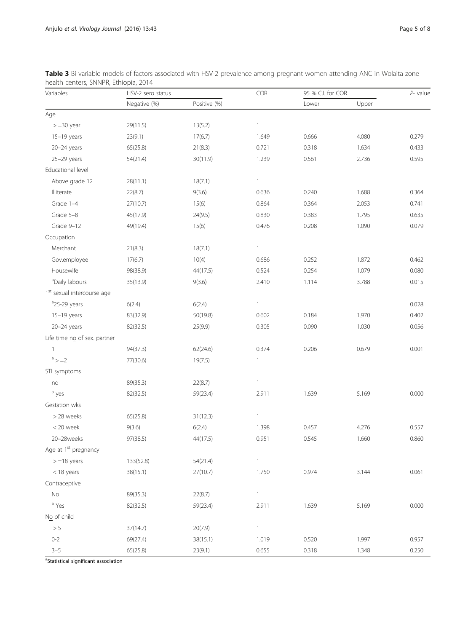| Variables                              | HSV-2 sero status | COR          |                |       | 95 % C.I. for COR |       |
|----------------------------------------|-------------------|--------------|----------------|-------|-------------------|-------|
|                                        | Negative (%)      | Positive (%) |                | Lower | Upper             |       |
| Age                                    |                   |              |                |       |                   |       |
| $> = 30$ year                          | 29(11.5)          | 13(5.2)      | $\mathbf{1}$   |       |                   |       |
| 15-19 years                            | 23(9.1)           | 17(6.7)      | 1.649          | 0.666 | 4.080             | 0.279 |
| 20-24 years                            | 65(25.8)          | 21(8.3)      | 0.721          | 0.318 | 1.634             | 0.433 |
| 25-29 years                            | 54(21.4)          | 30(11.9)     | 1.239          | 0.561 | 2.736             | 0.595 |
| Educational level                      |                   |              |                |       |                   |       |
| Above grade 12                         | 28(11.1)          | 18(7.1)      | $\mathbf{1}$   |       |                   |       |
| Illiterate                             | 22(8.7)           | 9(3.6)       | 0.636          | 0.240 | 1.688             | 0.364 |
| Grade 1-4                              | 27(10.7)          | 15(6)        | 0.864          | 0.364 | 2.053             | 0.741 |
| Grade 5-8                              | 45(17.9)          | 24(9.5)      | 0.830          | 0.383 | 1.795             | 0.635 |
| Grade 9-12                             | 49(19.4)          | 15(6)        | 0.476          | 0.208 | 1.090             | 0.079 |
| Occupation                             |                   |              |                |       |                   |       |
| Merchant                               | 21(8.3)           | 18(7.1)      | $\mathbf{1}$   |       |                   |       |
| Gov.employee                           | 17(6.7)           | 10(4)        | 0.686          | 0.252 | 1.872             | 0.462 |
| Housewife                              | 98(38.9)          | 44(17.5)     | 0.524          | 0.254 | 1.079             | 0.080 |
| <sup>a</sup> Daily labours             | 35(13.9)          | 9(3.6)       | 2.410          | 1.114 | 3.788             | 0.015 |
| 1 <sup>st</sup> sexual intercourse age |                   |              |                |       |                   |       |
| <sup>a</sup> 25-29 years               | 6(2.4)            | 6(2.4)       | $\mathbf{1}$   |       |                   | 0.028 |
| 15-19 years                            | 83(32.9)          | 50(19.8)     | 0.602          | 0.184 | 1.970             | 0.402 |
| 20-24 years                            | 82(32.5)          | 25(9.9)      | 0.305          | 0.090 | 1.030             | 0.056 |
| Life time no of sex. partner           |                   |              |                |       |                   |       |
| $\mathbf{1}$                           | 94(37.3)          | 62(24.6)     | 0.374          | 0.206 | 0.679             | 0.001 |
| a > 2                                  | 77(30.6)          | 19(7.5)      | $\mathbf{1}$   |       |                   |       |
| STI symptoms                           |                   |              |                |       |                   |       |
| no                                     | 89(35.3)          | 22(8.7)      | $\mathbf{1}$   |       |                   |       |
| <sup>a</sup> yes                       | 82(32.5)          | 59(23.4)     | 2.911          | 1.639 | 5.169             | 0.000 |
| Gestation wks                          |                   |              |                |       |                   |       |
| > 28 weeks                             | 65(25.8)          | 31(12.3)     | $\mathbf{1}$   |       |                   |       |
| < 20 week                              | 9(3.6)            | 6(2.4)       | 1.398          | 0.457 | 4.276             | 0.557 |
| 20-28weeks                             | 97(38.5)          | 44(17.5)     | 0.951          | 0.545 | 1.660             | 0.860 |
| Age at 1 <sup>st</sup> pregnancy       |                   |              |                |       |                   |       |
| $> = 18$ years                         | 133(52.8)         | 54(21.4)     | $\mathbf{1}$   |       |                   |       |
| $<$ 18 years                           | 38(15.1)          | 27(10.7)     | 1.750          | 0.974 | 3.144             | 0.061 |
| Contraceptive                          |                   |              |                |       |                   |       |
| No                                     | 89(35.3)          | 22(8.7)      | $\overline{1}$ |       |                   |       |
| <sup>a</sup> Yes                       | 82(32.5)          | 59(23.4)     | 2.911          | 1.639 | 5.169             | 0.000 |
| No of child                            |                   |              |                |       |                   |       |
| $> 5$                                  | 37(14.7)          | 20(7.9)      | $\mathbf{1}$   |       |                   |       |
| $0 - 2$                                | 69(27.4)          | 38(15.1)     | 1.019          | 0.520 | 1.997             | 0.957 |
| $3 - 5$                                | 65(25.8)          | 23(9.1)      | 0.655          | 0.318 | 1.348             | 0.250 |

<span id="page-4-0"></span>Table 3 Bi variable models of factors associated with HSV-2 prevalence among pregnant women attending ANC in Wolaita zone health centers, SNNPR, Ethiopia, 2014

<sup>a</sup>Statistical significant association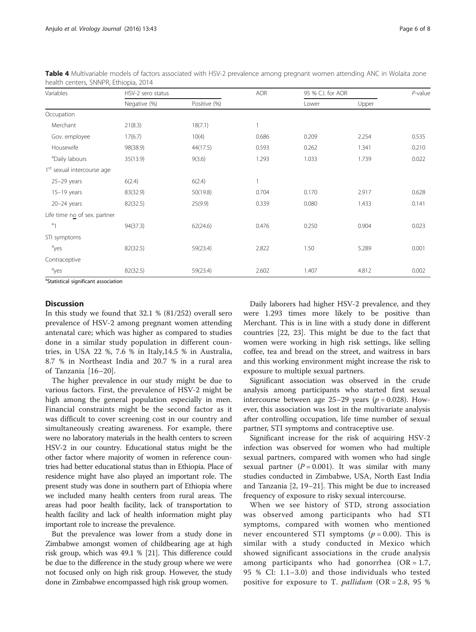| Variables                              | HSV-2 sero status |              |       | 95 % C.I. for AOR |       | $P$ -value |
|----------------------------------------|-------------------|--------------|-------|-------------------|-------|------------|
|                                        | Negative (%)      | Positive (%) |       | Lower             | Upper |            |
| Occupation                             |                   |              |       |                   |       |            |
| Merchant                               | 21(8.3)           | 18(7.1)      |       |                   |       |            |
| Gov. employee                          | 17(6.7)           | 10(4)        | 0.686 | 0.209             | 2.254 | 0.535      |
| Housewife                              | 98(38.9)          | 44(17.5)     | 0.593 | 0.262             | 1.341 | 0.210      |
| <sup>a</sup> Daily labours             | 35(13.9)          | 9(3.6)       | 1.293 | 1.033             | 1.739 | 0.022      |
| 1 <sup>st</sup> sexual intercourse age |                   |              |       |                   |       |            |
| $25-29$ years                          | 6(2.4)            | 6(2.4)       | 1     |                   |       |            |
| $15-19$ years                          | 83(32.9)          | 50(19.8)     | 0.704 | 0.170             | 2.917 | 0.628      |
| 20-24 years                            | 82(32.5)          | 25(9.9)      | 0.339 | 0.080             | 1.433 | 0.141      |
| Life time no of sex. partner           |                   |              |       |                   |       |            |
| a <sub>1</sub>                         | 94(37.3)          | 62(24.6)     | 0.476 | 0.250             | 0.904 | 0.023      |
| STI symptoms                           |                   |              |       |                   |       |            |
| a <sub>yes</sub>                       | 82(32.5)          | 59(23.4)     | 2.822 | 1.50              | 5.289 | 0.001      |
| Contraceptive                          |                   |              |       |                   |       |            |
| a <sub>yes</sub>                       | 82(32.5)          | 59(23.4)     | 2.602 | 1.407             | 4.812 | 0.002      |

<span id="page-5-0"></span>Table 4 Multivariable models of factors associated with HSV-2 prevalence among pregnant women attending ANC in Wolaita zone health centers, SNNPR, Ethiopia, 2014

<sup>a</sup>Statistical significant association

#### **Discussion**

In this study we found that 32.1 % (81/252) overall sero prevalence of HSV-2 among pregnant women attending antenatal care; which was higher as compared to studies done in a similar study population in different countries, in USA 22 %, 7.6 % in Italy,14.5 % in Australia, 8.7 % in Northeast India and 20.7 % in a rural area of Tanzania [\[16](#page-6-0)–[20](#page-7-0)].

The higher prevalence in our study might be due to various factors. First, the prevalence of HSV-2 might be high among the general population especially in men. Financial constraints might be the second factor as it was difficult to cover screening cost in our country and simultaneously creating awareness. For example, there were no laboratory materials in the health centers to screen HSV-2 in our country. Educational status might be the other factor where majority of women in reference countries had better educational status than in Ethiopia. Place of residence might have also played an important role. The present study was done in southern part of Ethiopia where we included many health centers from rural areas. The areas had poor health facility, lack of transportation to health facility and lack of health information might play important role to increase the prevalence.

But the prevalence was lower from a study done in Zimbabwe amongst women of childbearing age at high risk group, which was 49.1 % [\[21\]](#page-7-0). This difference could be due to the difference in the study group where we were not focused only on high risk group. However, the study done in Zimbabwe encompassed high risk group women.

Daily laborers had higher HSV-2 prevalence, and they were 1.293 times more likely to be positive than Merchant. This is in line with a study done in different countries [\[22](#page-7-0), [23\]](#page-7-0). This might be due to the fact that women were working in high risk settings, like selling coffee, tea and bread on the street, and waitress in bars and this working environment might increase the risk to exposure to multiple sexual partners.

Significant association was observed in the crude analysis among participants who started first sexual intercourse between age 25–29 years ( $p = 0.028$ ). However, this association was lost in the multivariate analysis after controlling occupation, life time number of sexual partner, STI symptoms and contraceptive use.

Significant increase for the risk of acquiring HSV-2 infection was observed for women who had multiple sexual partners, compared with women who had single sexual partner  $(P = 0.001)$ . It was similar with many studies conducted in Zimbabwe, USA, North East India and Tanzania [[2,](#page-6-0) [19](#page-7-0)–[21](#page-7-0)]. This might be due to increased frequency of exposure to risky sexual intercourse.

When we see history of STD, strong association was observed among participants who had STI symptoms, compared with women who mentioned never encountered STI symptoms ( $p = 0.00$ ). This is similar with a study conducted in Mexico which showed significant associations in the crude analysis among participants who had gonorrhea  $(OR = 1.7,$ 95 % CI: 1.1–3.0) and those individuals who tested positive for exposure to T. *pallidum* (OR = 2.8, 95 %)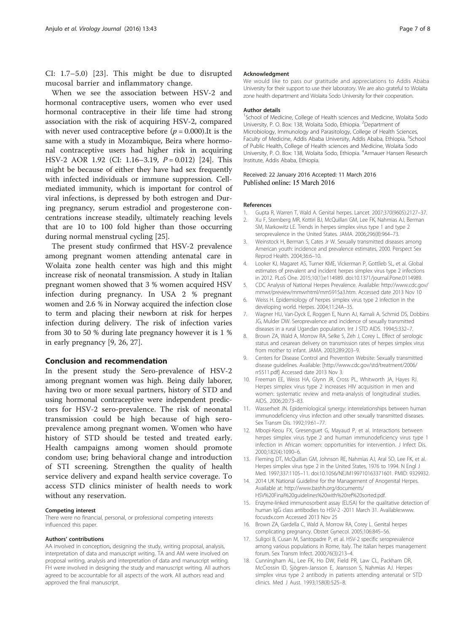<span id="page-6-0"></span>CI: 1.7–5.0) [[23\]](#page-7-0). This might be due to disrupted mucosal barrier and inflammatory change.

When we see the association between HSV-2 and hormonal contraceptive users, women who ever used hormonal contraceptive in their life time had strong association with the risk of acquiring HSV-2, compared with never used contraceptive before  $(p = 0.000)$ . It is the same with a study in Mozambique, Beira where hormonal contraceptive users had higher risk in acquiring HSV-2 AOR 1.92 (CI: 1.16–3.19, P = 0.012) [\[24](#page-7-0)]. This might be because of either they have had sex frequently with infected individuals or immune suppression. Cellmediated immunity, which is important for control of viral infections, is depressed by both estrogen and During pregnancy, serum estradiol and progesterone concentrations increase steadily, ultimately reaching levels that are 10 to 100 fold higher than those occurring during normal menstrual cycling [\[25](#page-7-0)].

The present study confirmed that HSV-2 prevalence among pregnant women attending antenatal care in Wolaita zone health center was high and this might increase risk of neonatal transmission. A study in Italian pregnant women showed that 3 % women acquired HSV infection during pregnancy. In USA 2 % pregnant women and 2.6 % in Norway acquired the infection close to term and placing their newborn at risk for herpes infection during delivery. The risk of infection varies from 30 to 50 % during late pregnancy however it is 1 % in early pregnancy [9, [26, 27\]](#page-7-0).

## Conclusion and recommendation

In the present study the Sero-prevalence of HSV-2 among pregnant women was high. Being daily laborer, having two or more sexual partners, history of STD and using hormonal contraceptive were independent predictors for HSV-2 sero-prevalence. The risk of neonatal transmission could be high because of high seroprevalence among pregnant women. Women who have history of STD should be tested and treated early. Health campaigns among women should promote condom use; bring behavioral change and introduction of STI screening. Strengthen the quality of health service delivery and expand health service coverage. To access STD clinics minister of health needs to work without any reservation.

#### Competing interest

There were no financial, personal, or professional competing interests influenced this paper.

#### Authors' contributions

AA involved in conception, designing the study, writing proposal, analysis, interpretation of data and manuscript writing. TA and AM were involved on proposal writing, analysis and interpretation of data and manuscript writing. FH were involved in designing the study and manuscript writing. All authors agreed to be accountable for all aspects of the work. All authors read and approved the final manuscript.

#### Acknowledgment

We would like to pass our gratitude and appreciations to Addis Ababa University for their support to use their laboratory. We are also grateful to Wolaita zone health department and Wolaita Sodo University for their cooperation.

#### Author details

<sup>1</sup>School of Medicine, College of Health sciences and Medicine, Wolaita Sodo University, P. O. Box: 138, Wolaita Sodo, Ethiopia. <sup>2</sup>Department of Microbiology, Immunology and Parasitology, College of Health Sciences, Faculty of Medicine, Addis Ababa University, Addis Ababa, Ethiopia. <sup>3</sup>School of Public Health, College of Health sciences and Medicine, Wolaita Sodo University, P. O. Box: 138, Wolaita Sodo, Ethiopia. <sup>4</sup>Armauer Hansen Research Institute, Addis Ababa, Ethiopia.

#### Received: 22 January 2016 Accepted: 11 March 2016 Published online: 15 March 2016

#### References

- 1. Gupta R, Warren T, Wald A. Genital herpes. Lancet. 2007;370(9605):2127–37.
- 2. Xu F, Sternberg MR, Kottiri BJ, McQuillan GM, Lee FK, Nahmias AJ, Berman SM, Markowitz LE. Trends in herpes simplex virus type 1 and type 2 seroprevalence in the United States. JAMA. 2006;296(8):964–73.
- 3. Weinstock H, Berman S, Cates Jr W. Sexually transmitted diseases among American youth: incidence and prevalence estimates, 2000. Perspect Sex Reprod Health. 2004;36:6–10.
- 4. Looker KJ, Magaret AS, Turner KME, Vickerman P, Gottlieb SL, et al. Global estimates of prevalent and incident herpes simplex virus type 2 infections in 2012. PLoS One. 2015;10(1):e114989. doi:[10.1371/journal.Pone.0114989](http://dx.doi.org/10.1371/journal.Pone.0114989).
- 5. CDC Analysis of National Herpes Prevalence. Available: [http://www.cdc.gov/](http://www.cdc.gov/mmwr/preview/mmwrhtml/mm5915a3.htm) [mmwr/preview/mmwrhtml/mm5915a3.htm](http://www.cdc.gov/mmwr/preview/mmwrhtml/mm5915a3.htm). Accessed date 2013 Nov 10
- 6. Weiss H. Epidemiology of herpes simplex virus type 2 infection in the developing world. Herpes. 2004;11:24A–35.
- 7. Wagner HU, Van-Dyck E, Roggen E, Nunn AJ, Kamali A, Schmid DS, Dobbins JG, Mulder DW. Seroprevalence and incidence of sexually transmitted diseases in a rural Ugandan population. Int J STD AIDS. 1994;5:332–7.
- 8. Brown ZA, Wald A, Morrow RA, Selke S, Zeh J, Corey L. Effect of serologic status and cesarean delivery on transmission rates of herpes simplex virus from mother to infant. JAMA. 2003;289:203–9.
- 9. Centers for Disease Control and Prevention Website: Sexually transmitted disease guidelines. Available: [\[http://www.cdc.gov/std/treatment/2006/](http://www.cdc.gov/std/treatment/2006/rr5511.pdf) [rr5511.pdf](http://www.cdc.gov/std/treatment/2006/rr5511.pdf)] Accessed date 2013 Nov 3.
- 10. Freeman EE, Weiss HA, Glynn JR, Cross PL, Whitworth JA, Hayes RJ. Herpes simplex virus type 2 increases HIV acquisition in men and women: systematic review and meta-analysis of longitudinal studies. AIDS. 2006;20:73–83.
- 11. Wasserheit JN. Epidemiological synergy: interrelationships between human immunodeficiency virus infection and other sexually transmitted diseases. Sex Transm Dis. 1992;19:61–77.
- 12. Mbopi-Keou FX, Gresenguet G, Mayaud P, et al. Interactions between herpes simplex virus type 2 and human immunodeficiency virus type 1 infection in African women: opportunities for intervention. J Infect Dis. 2000;182(4):1090–6.
- 13. Fleming DT, McQuillan GM, Johnson RE, Nahmias AJ, Aral SO, Lee FK, et al. Herpes simplex virus type 2 in the United States, 1976 to 1994. N Engl J Med. 1997;337:1105–11. doi:[10.1056/NEJM199710163371601.](http://dx.doi.org/10.1056/NEJM199710163371601) PMID: 9329932.
- 14. 2014 UK National Guideline for the Management of Anogenital Herpes. Available at: [http://www.bashh.org/documents/](http://www.bashh.org/documents/HSV%20Final%20guidelines%20with%20ref%20sorted.pdf) [HSV%20Final%20guidelines%20with%20ref%20sorted.pdf.](http://www.bashh.org/documents/HSV%20Final%20guidelines%20with%20ref%20sorted.pdf)
- 15. Enzyme-linked immunosorbent assay (ELISA) for the qualitative detection of human IgG class antibodies to HSV-2 -2011 March 31. Available[:www.](http://www.focusdx.com/) [focusdx.com](http://www.focusdx.com/) Accessed 2013 Nov 25
- 16. Brown ZA, Gardella C, Wald A, Morrow RA, Corey L. Genital herpes complicating pregnancy. Obstet Gynecol. 2005;106:845–56.
- 17. Suligoi B, Cusan M, Santopadre P, et al. HSV-2 specific seroprevalence among various populations in Rome, Italy. The Italian herpes management forum. Sex Transm Infect. 2000;76(3):213–4.
- 18. Cunningham AL, Lee FK, Ho DW, Field PR, Law CL, Packham DR, McCrossin ID, Sjögren-Jansson E, Jeansson S, Nahmias AJ. Herpes simplex virus type 2 antibody in patients attending antenatal or STD clinics. Med J Aust. 1993;158(8):525–8.